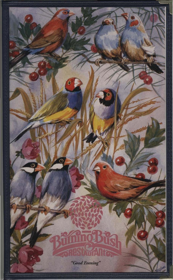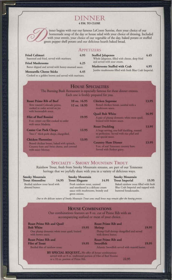# DINNER **4 P.M. TO CLOSE**



inner begins with our our famous LeConte Sunrise, then your choice of our homemade soup of the day or house salad with your choice of dressing. Included with your entrée, your choice of our vegetable of the day, baked potato or stuffed green pepper shell potato and our delicious hearth baked bread.

# **APPETIZERS**

| <b>Fried Calimari</b><br>Seasoned and fried, served with marinara. | 4.95 |
|--------------------------------------------------------------------|------|
| <b>Fried Mushrooms</b>                                             | 4.25 |
| Batter dipped and served with honey-mustard sauce.                 |      |
| <b>Mozzarella Cheese Sticks</b>                                    | 4.45 |
| Cooked to a colden hrown and served with marinary                  |      |

| <b>Stuffed Jalapenos</b>                                                       | 4.45 |
|--------------------------------------------------------------------------------|------|
| Whole Jalapenos, filled with cheese, deep fried<br>and served with sour cream. |      |
| Mushrooms Stuffed with Crab                                                    | 4.95 |
| Jumbo mushrooms filled with fresh Blue Crab Imperial.                          |      |

# **HOUSE SPECIALTIES**

The Burning Bush Restaurant is especially famous for these dinner entrees. Each one is freshly prepared for you.

| <b>Roast Prime Rib of Beef</b><br>Slow roasted Colorado prime,<br>cooked to order served an jus-<br>with horseradish sauce. | 10 oz. 16.95<br>12 oz. 18.95 | <b>Chicken Supreme</b><br>Boned chicken breast, sauteed with a<br>mushroom sauce.                             | 13.95 |
|-----------------------------------------------------------------------------------------------------------------------------|------------------------------|---------------------------------------------------------------------------------------------------------------|-------|
|                                                                                                                             |                              | <b>Quail Bob White</b>                                                                                        | 16.95 |
| <b>Filet of Beef Rossini</b>                                                                                                | 19.95                        | A pair of plump domestic white meat quail,                                                                    |       |
| 8 oz. center cut filet cooked to order                                                                                      |                              | braised with brown sauce.                                                                                     |       |
| with sauce Maderia.                                                                                                         |                              | <b>Roast Duckling</b>                                                                                         | 13.95 |
| <b>Center Cut Pork Chops</b><br>Two-1" thick pork chops, chargrilled,                                                       | 12.95                        | A huge serving, one-half duckling, roasted<br>to perfection. Served with rice pilaf and<br>our special sauce. |       |
| <b>Chicken Florentine</b>                                                                                                   | 13.95                        |                                                                                                               |       |
| Boned chicken breast, baked with spinach,<br>Country ham and Swiss cheese, and covered<br>with sauce Mornay.                |                              | <b>Country Ham Dinner</b><br>9 oz, of real Tennessee country ham.<br>Served with Redeye gravy.                | 13.95 |

# **SPECIALTY - SMOKY MOUNTAIN TROUT**

Rainbow Trout, fresh from Smoky Mountain streams, are part of our Tennessee heritage that we joyfully share with you in a variety of delicious ways.

| <b>Smoky Mountain</b>                              |       | <b>Smoky Mountain</b>                                                                                                  |                   | <b>Smoky Mountain</b>                                                                                |       |
|----------------------------------------------------|-------|------------------------------------------------------------------------------------------------------------------------|-------------------|------------------------------------------------------------------------------------------------------|-------|
| <b>Trout Almondine</b>                             | 14.95 | <b>Trout Elegante</b>                                                                                                  | 14.95             | <b>Trout Imperial</b>                                                                                | 15.95 |
| Broiled rainbow trout laced with<br>almond butter. |       | Fresh rainbow trout, sauteed<br>and smothered in a delicate cream<br>sauce with mushrooms, brandy and<br>green onions. |                   | Baked rainbow trout filled with fresh<br>Blue Crab Imperial and topped with<br>buttered breadcrumbs. |       |
| the property of the first that the                 |       | the field of the state of the state of the state of the state of the state of the state of                             | <b>CONTRACTOR</b> | The age and an inter-                                                                                |       |

Due to the delicate nature of Smoky Mountain Trout some small bones may remain after the boning process.

| <b>HOUSE COMBINATIONS</b><br>Our combinations features an 8 oz. cut of Prime Rib with an<br>accompanying seafood or meat of your choice.                     |                                                                                                                 |  |
|--------------------------------------------------------------------------------------------------------------------------------------------------------------|-----------------------------------------------------------------------------------------------------------------|--|
| <b>Roast Prime Rib and Quail</b><br><b>Bob White</b><br>19.95<br>One plump domestic white meat quail, braised<br>with hrown sauce.                           | <b>Roast Prime Rib and</b><br>Shrimp<br>19.95<br>Plump Gulf shrimp chargrilled and served<br>with drawn butter. |  |
| <b>Roast Prime Rib and</b><br><b>Filet of Trout</b><br>19.95<br>Broiled filet of rainbow trout.                                                              | <b>Roast Prime Rib and</b><br>Swordfish<br>19.95<br>Atlantic Swordfish served with matred butter.               |  |
| BY SPECIAL REQUEST We offer all house combinations<br>served with an 8 oz. traditional portion of Filet of Beef Rossini<br>or a 10 oz. portion of Prime Rib. | 22.95                                                                                                           |  |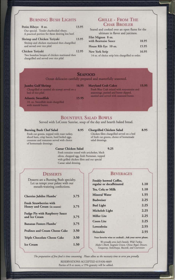# **BURNING BUSH LIGHTS**

| Petite Ribeye 8 oz.<br>Our special. Tender charbroiled ribeye.<br>A practical portion for those desiring less beef. | 13.95 |  |
|---------------------------------------------------------------------------------------------------------------------|-------|--|
| Shrimp and Chicken Teriyaki<br>Shrimp and chicken marinated then chargrilled<br>and served over rice pilaf.         | 13.95 |  |
| Chicken Teriyaki<br>Two boneless breasts of chicken marinated then<br>chargrilled and served over rice pilaf.       | 12.95 |  |

# **GRILLE - FROM THE CHAR BROILER**

Seared and cooked over an open flame for the ultimate in flavor and juiciness.

| Filet Mignon 8 oz.   |       |
|----------------------|-------|
| with Bearnaise Sauce | 18.95 |
| House Rib Eye 10 oz. | 15.95 |
| New York Strip       | 16.95 |

14 oz. of choice strip loin chargrilled to order.

# **SEAFOOD**

Ocean delicacies carefully prepared and masterfully seasoned.

| <b>Jumbo Gulf Shrimp</b><br>Chargrilled or sauteed ala scampi served on a<br>bed of rice pilaf. | 16.95 | <b>Maryland Crab Cakes</b><br>Fresh Blue Crab mixed with mayonnaise and<br>seasonings, partied and batter dipped, | 15.95 |
|-------------------------------------------------------------------------------------------------|-------|-------------------------------------------------------------------------------------------------------------------|-------|
| <b>Atlantic Swordfish</b><br>10. oz. Swordfish steak chargrilled<br>with matred butter.         | 15.95 | sautéed and served with seasoned butter.                                                                          |       |

# **BOUNTIFUL SALAD BOWLS**

Served with LeConte Sunrise, soup of the day and hearth baked bread.

### **Burning Bush Chef Salad**

8.95 Chargrilled Chicken Salad 8.95

Fresh cut greens, topped with roast turkey, sliced ham, crisp bacon, hard boiled eggs, croutons and tomatoes served with choice of homemade dressings.

Chicken filets chargrilled served on a bed of fresh cut greens, choice of homemade salad dressings.

**Caesar Chicken Salad** 

## 9.25

Fresh romaine tossed with artichokes, black olives, chopped egg, fresh Parmesan, topped with grilled chicken filets and our special Caesar salad dressing.

## **DESSERTS**

Desserts are a Burning Bush specialty. Let us tempt your palate with our mouth-watering confections.

| Cherries Jubilee Flambe'                                      | 3.75 |
|---------------------------------------------------------------|------|
| <b>Fresh Strawberries with</b><br>Honey and Cream (in season) | 3.75 |
| <b>Fudge Pie with Raspberry Sauce</b><br>and Ice Cream        | 3.75 |
| <b>Bananas Fosters Flambe</b>                                 | 3.75 |
| <b>Pralines and Cream Cheese Cake</b>                         | 3.50 |
| <b>Triple Chocolate Cheese Cake</b>                           | 3.50 |
| <b>Ice Cream</b>                                              | 1.50 |

**BEVERAGES** 

| <b>Freshly brewed Coffee,</b><br>regular or decaffeinated                               | 1.10 |
|-----------------------------------------------------------------------------------------|------|
| Tea, Cola or Milk                                                                       | 1.10 |
| <b>Mineral Water</b>                                                                    | 1.55 |
| <b>Budweiser</b>                                                                        | 2.25 |
| <b>Bud Light</b>                                                                        | 2.25 |
| Michelob Light                                                                          | 2.25 |
| <b>Miller Lite</b>                                                                      | 2.25 |
| <b>Coors Lite</b>                                                                       | 2.25 |
| Lowenbräu                                                                               | 2.55 |
| Heinekin                                                                                | 2.55 |
| Your favorite wine or cocktailAsk your server please.                                   |      |
| the contract of the contract of the contract of the company of the contract of the con- |      |

We proudly serve Jack Daniels, Wild Turkey, Maker's Mark, Seagram Crown, Chivas Regal, Dewars, Tanqueray, Stolichnaya, Bacardi, and Courvoisier.

The preparation of fine food is time consuming. Please allow us the necessary time to serve you proudly.

RESERVATIONS ACCEPTED 615/436-4669 Parties of 8 or more, a 15% gratuity will be added.